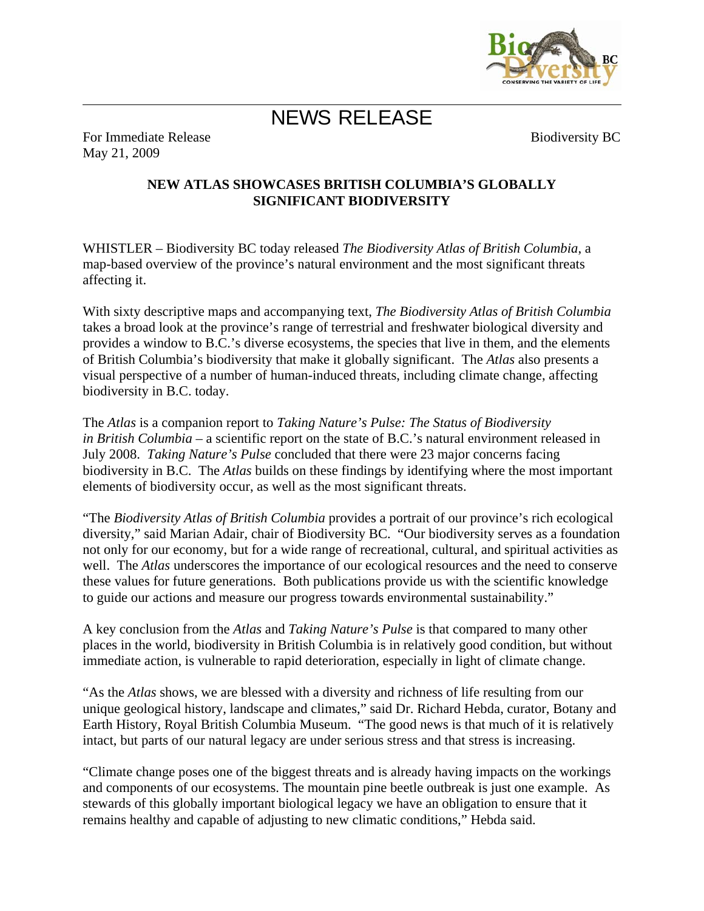

## NEWS RELEASE

For Immediate Release May 21, 2009

Biodiversity BC

## **NEW ATLAS SHOWCASES BRITISH COLUMBIA'S GLOBALLY SIGNIFICANT BIODIVERSITY**

WHISTLER – Biodiversity BC today released *The Biodiversity Atlas of British Columbia*, a map-based overview of the province's natural environment and the most significant threats affecting it.

With sixty descriptive maps and accompanying text, *The Biodiversity Atlas of British Columbia*  takes a broad look at the province's range of terrestrial and freshwater biological diversity and provides a window to B.C.'s diverse ecosystems, the species that live in them, and the elements of British Columbia's biodiversity that make it globally significant. The *Atlas* also presents a visual perspective of a number of human-induced threats, including climate change, affecting biodiversity in B.C. today.

The *Atlas* is a companion report to *Taking Nature's Pulse: The Status of Biodiversity in British Columbia* – a scientific report on the state of B.C.'s natural environment released in July 2008. *Taking Nature's Pulse* concluded that there were 23 major concerns facing biodiversity in B.C. The *Atlas* builds on these findings by identifying where the most important elements of biodiversity occur, as well as the most significant threats.

"The *Biodiversity Atlas of British Columbia* provides a portrait of our province's rich ecological diversity," said Marian Adair, chair of Biodiversity BC. "Our biodiversity serves as a foundation not only for our economy, but for a wide range of recreational, cultural, and spiritual activities as well. The *Atlas* underscores the importance of our ecological resources and the need to conserve these values for future generations. Both publications provide us with the scientific knowledge to guide our actions and measure our progress towards environmental sustainability."

A key conclusion from the *Atlas* and *Taking Nature's Pulse* is that compared to many other places in the world, biodiversity in British Columbia is in relatively good condition, but without immediate action, is vulnerable to rapid deterioration, especially in light of climate change.

"As the *Atlas* shows, we are blessed with a diversity and richness of life resulting from our unique geological history, landscape and climates," said Dr. Richard Hebda, curator, Botany and Earth History, Royal British Columbia Museum. "The good news is that much of it is relatively intact, but parts of our natural legacy are under serious stress and that stress is increasing.

"Climate change poses one of the biggest threats and is already having impacts on the workings and components of our ecosystems. The mountain pine beetle outbreak is just one example. As stewards of this globally important biological legacy we have an obligation to ensure that it remains healthy and capable of adjusting to new climatic conditions," Hebda said.